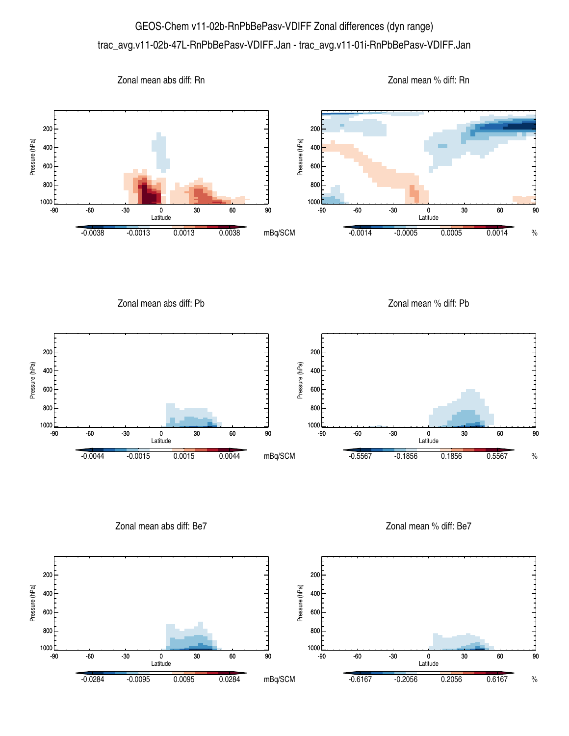## GEOS-Chem v11-02b-RnPbBePasv-VDIFF Zonal differences (dyn range) trac\_avg.v11-02b-47L-RnPbBePasv-VDIFF.Jan - trac\_avg.v11-01i-RnPbBePasv-VDIFF.Jan



Zonal mean abs diff: Pb

Zonal mean % diff: Pb



Zonal mean abs diff: Be7

Zonal mean % diff: Be7